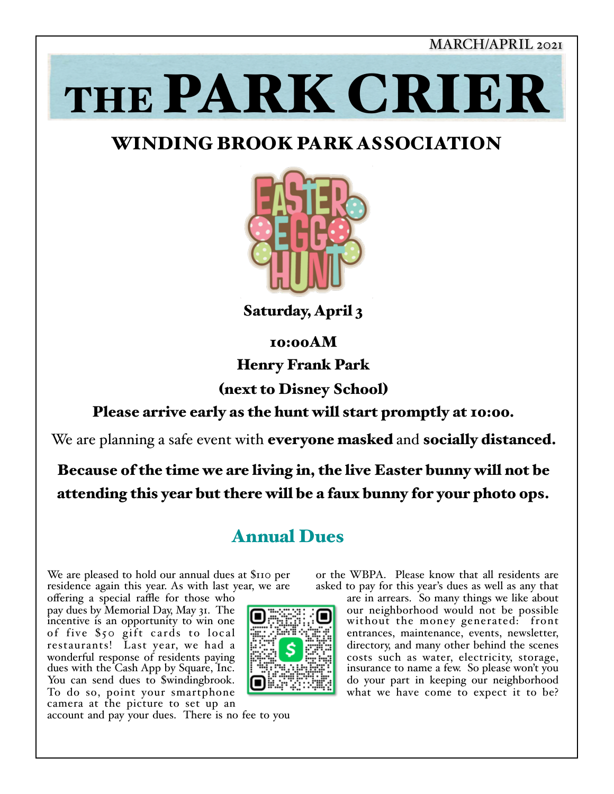MARCH/APRIL 2021

# THE PARK CRIER

# WINDING BROOK PARK ASSOCIATION



Saturday, April 3

10:00AM

Henry Frank Park

(next to Disney School)

#### Please arrive early as the hunt will start promptly at 10:00.

We are planning a safe event with **everyone masked** and **socially distanced.** 

Because of the time we are living in, the live Easter bunny will not be attending this year but there will be a faux bunny for your photo ops.

# Annual Dues

We are pleased to hold our annual dues at \$110 per residence again this year. As with last year, we are

offering a special raffle for those who pay dues by Memorial Day, May 31. The incentive is an opportunity to win one of five \$50 gift cards to local restaurants! Last year, we had a wonderful response of residents paying dues with the Cash App by Square, Inc. You can send dues to \$windingbrook. To do so, point your smartphone camera at the picture to set up an



or the WBPA. Please know that all residents are asked to pay for this year's dues as well as any that

are in arrears. So many things we like about our neighborhood would not be possible without the money generated: front entrances, maintenance, events, newsletter, directory, and many other behind the scenes costs such as water, electricity, storage, insurance to name a few. So please won't you do your part in keeping our neighborhood what we have come to expect it to be?

account and pay your dues. There is no fee to you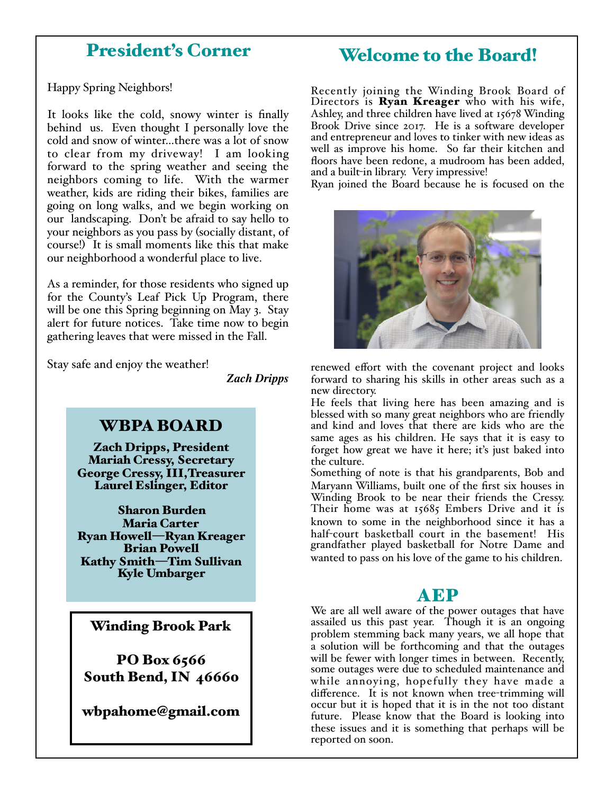## President's Corner

Happy Spring Neighbors!

It looks like the cold, snowy winter is finally behind us. Even thought I personally love the cold and snow of winter…there was a lot of snow to clear from my driveway! I am looking forward to the spring weather and seeing the neighbors coming to life. With the warmer weather, kids are riding their bikes, families are going on long walks, and we begin working on our landscaping. Don't be afraid to say hello to your neighbors as you pass by (socially distant, of course!) It is small moments like this that make our neighborhood a wonderful place to live.

As a reminder, for those residents who signed up for the County's Leaf Pick Up Program, there will be one this Spring beginning on May 3. Stay alert for future notices. Take time now to begin gathering leaves that were missed in the Fall.

Stay safe and enjoy the weather!

*Zach Dripps* 

#### WBPA BOARD

Zach Dripps, President Mariah Cressy, Secretary George Cressy, III,Treasurer Laurel Eslinger, Editor

Sharon Burden Maria Carter Ryan Howell—Ryan Kreager Brian Powell Kathy Smith—Tim Sullivan Kyle Umbarger

#### Winding Brook Park

PO Box 6566 South Bend, IN 46660

wbpahome@gmail.com

#### Welcome to the Board!

Recently joining the Winding Brook Board of Directors is **Ryan Kreager** who with his wife, Ashley, and three children have lived at 15678 Winding Brook Drive since 2017. He is a software developer and entrepreneur and loves to tinker with new ideas as well as improve his home. So far their kitchen and floors have been redone, a mudroom has been added, and a built-in library. Very impressive!

Ryan joined the Board because he is focused on the



renewed effort with the covenant project and looks forward to sharing his skills in other areas such as a new directory.

He feels that living here has been amazing and is blessed with so many great neighbors who are friendly and kind and loves that there are kids who are the same ages as his children. He says that it is easy to forget how great we have it here; it's just baked into the culture.

Something of note is that his grandparents, Bob and Maryann Williams, built one of the first six houses in Winding Brook to be near their friends the Cressy. Their home was at 15685 Embers Drive and it is known to some in the neighborhood since it has a half-court basketball court in the basement! His grandfather played basketball for Notre Dame and wanted to pass on his love of the game to his children.

#### AEP

We are all well aware of the power outages that have assailed us this past year. Though it is an ongoing problem stemming back many years, we all hope that a solution will be forthcoming and that the outages will be fewer with longer times in between. Recently, some outages were due to scheduled maintenance and while annoying, hopefully they have made a difference. It is not known when tree-trimming will occur but it is hoped that it is in the not too distant future. Please know that the Board is looking into these issues and it is something that perhaps will be reported on soon.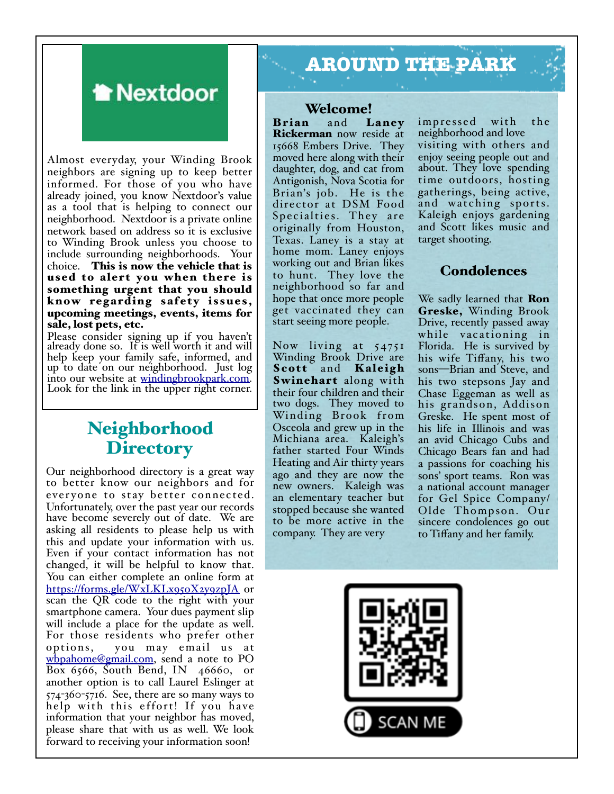

Almost everyday, your Winding Brook neighbors are signing up to keep better informed. For those of you who have already joined, you know Nextdoor's value as a tool that is helping to connect our neighborhood. Nextdoor is a private online network based on address so it is exclusive to Winding Brook unless you choose to include surrounding neighborhoods. Your choice. This is now the vehicle that is used to alert you when there is something urgent that you should know regarding safety issues, upcoming meetings, events, items for sale, lost pets, etc.

Please consider signing up if you haven't already done so. It is well worth it and will help keep your family safe, informed, and up to date on our neighborhood. Just log into our website at [windingbrookpark.com.](http://windingbrookpark.com) Look for the link i[n the upper right corner.](http://windingbrookpark.com)

### Neighborhood **Directory**

Our neighborhood directory is a great way to better know our neighbors and for everyone to stay better connected. Unfortunately, over the past year our records have become severely out of date. We are asking all residents to please help us with this and update your information with us. Even if your contact information has not changed, it will be helpful to know that. You can either complete an online form at <https://forms.gle/WxLKLx95oX2y9zpJA> or scan the QR code to the right with your smartphone camera. Your dues payment slip will include a place for the update as well. For those residents who prefer other options, you may email us at [wbpahome@gmail.com](mailto:wbpahome@gmail.com), send a note to PO Box 6566, South Bend, IN 46660, or another option is to call Laurel Eslinger at 574-360-5716. See, there are so many ways to help with this effort! If you have information that your neighbor has moved, please share that with us as well. We look forward to receiving your information soon!

# **AROUND THE PARK**

#### Welcome!

Brian and Laney Rickerman now reside at 15668 Embers Drive. They moved here along with their daughter, dog, and cat from Antigonish, Nova Scotia for Brian's job. He is the director at DSM Food Specialties. They are originally from Houston, Texas. Laney is a stay at home mom. Laney enjoys working out and Brian likes to hunt. They love the neighborhood so far and hope that once more people get vaccinated they can start seeing more people.

Now living at 54751 Winding Brook Drive are Scott and Kaleigh Swinehart along with their four children and their two dogs. They moved to Winding Brook from Osceola and grew up in the Michiana area. Kaleigh's father started Four Winds Heating and Air thirty years ago and they are now the new owners. Kaleigh was an elementary teacher but stopped because she wanted to be more active in the company. They are very

impressed with the neighborhood and love visiting with others and enjoy seeing people out and about. They love spending time outdoors, hosting gatherings, being active, and watching sports. Kaleigh enjoys gardening and Scott likes music and target shooting.

#### **Condolences**

We sadly learned that **Ron** Greske, Winding Brook<br>Drive, recently passed away while vacationing in Florida. He is survived by his wife Tiffany, his two sons—Brian and Steve, and his two stepsons Jay and Chase Eggeman as well as his grandson, Addison Greske. He spent most of his life in Illinois and was an avid Chicago Cubs and Chicago Bears fan and had a passions for coaching his sons' sport teams. Ron was a national account manager for Gel Spice Company/ Olde Thompson. Our sincere condolences go out to Tiffany and her family.